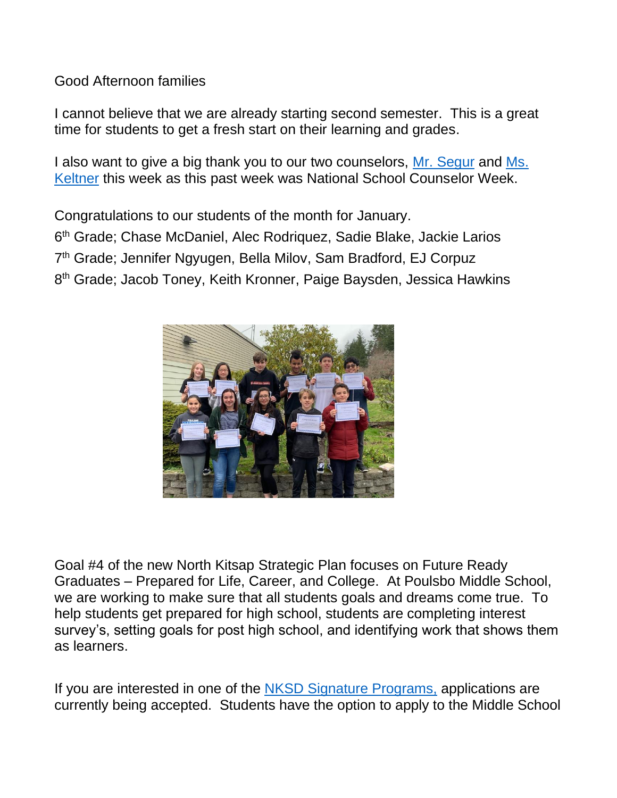Good Afternoon families

I cannot believe that we are already starting second semester. This is a great time for students to get a fresh start on their learning and grades.

I also want to give a big thank you to our two counselors, [Mr. Segur](mailto:dsegur@nkschools.org?subject=email) and Ms. [Keltner](mailto:mkeltner@nkschools.org?subject=email) this week as this past week was National School Counselor Week.

Congratulations to our students of the month for January.

6<sup>th</sup> Grade; Chase McDaniel, Alec Rodriquez, Sadie Blake, Jackie Larios

7<sup>th</sup> Grade; Jennifer Ngyugen, Bella Milov, Sam Bradford, EJ Corpuz

8<sup>th</sup> Grade; Jacob Toney, Keith Kronner, Paige Baysden, Jessica Hawkins



Goal #4 of the new North Kitsap Strategic Plan focuses on Future Ready Graduates – Prepared for Life, Career, and College. At Poulsbo Middle School, we are working to make sure that all students goals and dreams come true. To help students get prepared for high school, students are completing interest survey's, setting goals for post high school, and identifying work that shows them as learners.

If you are interested in one of the [NKSD Signature Programs,](http://www.nkschools.org/news/what_s_new/your_path__your_way) applications are currently being accepted. Students have the option to apply to the Middle School